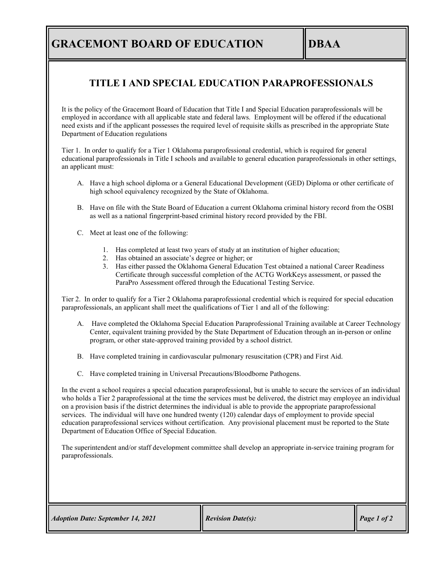### **GRACEMONT BOARD OF EDUCATION IDBAA**

#### **TITLE I AND SPECIAL EDUCATION PARAPROFESSIONALS**

It is the policy of the Gracemont Board of Education that Title I and Special Education paraprofessionals will be employed in accordance with all applicable state and federal laws. Employment will be offered if the educational need exists and if the applicant possesses the required level of requisite skills as prescribed in the appropriate State Department of Education regulations

Tier 1. In order to qualify for a Tier 1 Oklahoma paraprofessional credential, which is required for general educational paraprofessionals in Title I schools and available to general education paraprofessionals in other settings, an applicant must:

- A. Have a high school diploma or a General Educational Development (GED) Diploma or other certificate of high school equivalency recognized by the State of Oklahoma.
- B. Have on file with the State Board of Education a current Oklahoma criminal history record from the OSBI as well as a national fingerprint-based criminal history record provided by the FBI.
- C. Meet at least one of the following:
	- 1. Has completed at least two years of study at an institution of higher education;
	- 2. Has obtained an associate's degree or higher; or
	- 3. Has either passed the Oklahoma General Education Test obtained a national Career Readiness Certificate through successful completion of the ACTG WorkKeys assessment, or passed the ParaPro Assessment offered through the Educational Testing Service.

Tier 2. In order to qualify for a Tier 2 Oklahoma paraprofessional credential which is required for special education paraprofessionals, an applicant shall meet the qualifications of Tier 1 and all of the following:

- A. Have completed the Oklahoma Special Education Paraprofessional Training available at Career Technology Center, equivalent training provided by the State Department of Education through an in-person or online program, or other state-approved training provided by a school district.
- B. Have completed training in cardiovascular pulmonary resuscitation (CPR) and First Aid.
- C. Have completed training in Universal Precautions/Bloodborne Pathogens.

In the event a school requires a special education paraprofessional, but is unable to secure the services of an individual who holds a Tier 2 paraprofessional at the time the services must be delivered, the district may employee an individual on a provision basis if the district determines the individual is able to provide the appropriate paraprofessional services. The individual will have one hundred twenty (120) calendar days of employment to provide special education paraprofessional services without certification. Any provisional placement must be reported to the State Department of Education Office of Special Education.

The superintendent and/or staff development committee shall develop an appropriate in-service training program for paraprofessionals.